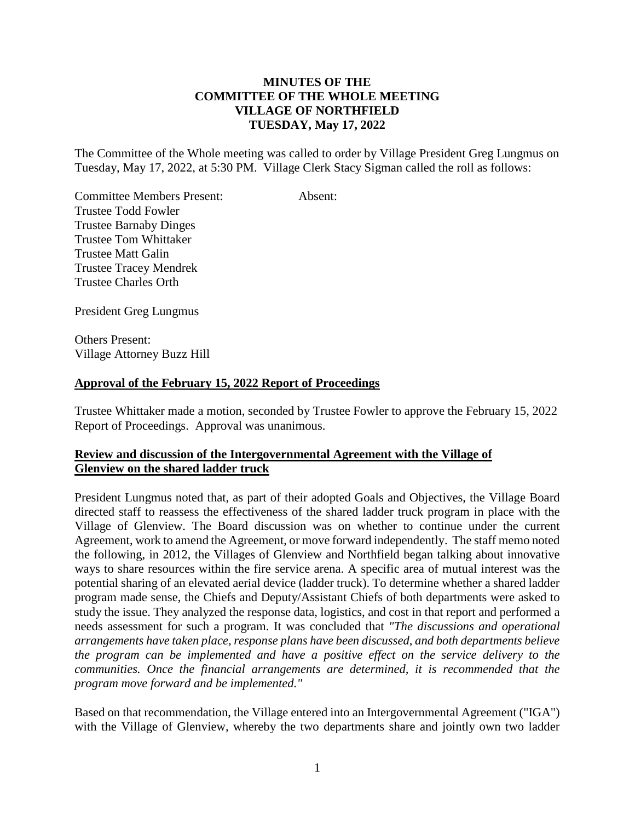# **MINUTES OF THE COMMITTEE OF THE WHOLE MEETING VILLAGE OF NORTHFIELD TUESDAY, May 17, 2022**

The Committee of the Whole meeting was called to order by Village President Greg Lungmus on Tuesday, May 17, 2022, at 5:30 PM. Village Clerk Stacy Sigman called the roll as follows:

Committee Members Present: Absent: Trustee Todd Fowler Trustee Barnaby Dinges Trustee Tom Whittaker Trustee Matt Galin Trustee Tracey Mendrek Trustee Charles Orth

President Greg Lungmus

Others Present: Village Attorney Buzz Hill

### **Approval of the February 15, 2022 Report of Proceedings**

Trustee Whittaker made a motion, seconded by Trustee Fowler to approve the February 15, 2022 Report of Proceedings. Approval was unanimous.

# **Review and discussion of the Intergovernmental Agreement with the Village of Glenview on the shared ladder truck**

President Lungmus noted that, as part of their adopted Goals and Objectives, the Village Board directed staff to reassess the effectiveness of the shared ladder truck program in place with the Village of Glenview. The Board discussion was on whether to continue under the current Agreement, work to amend the Agreement, or move forward independently. The staff memo noted the following, in 2012, the Villages of Glenview and Northfield began talking about innovative ways to share resources within the fire service arena. A specific area of mutual interest was the potential sharing of an elevated aerial device (ladder truck). To determine whether a shared ladder program made sense, the Chiefs and Deputy/Assistant Chiefs of both departments were asked to study the issue. They analyzed the response data, logistics, and cost in that report and performed a needs assessment for such a program. It was concluded that *"The discussions and operational arrangements have taken place, response plans have been discussed, and both departments believe the program can be implemented and have a positive effect on the service delivery to the communities. Once the financial arrangements are determined, it is recommended that the program move forward and be implemented."*

Based on that recommendation, the Village entered into an Intergovernmental Agreement ("IGA") with the Village of Glenview, whereby the two departments share and jointly own two ladder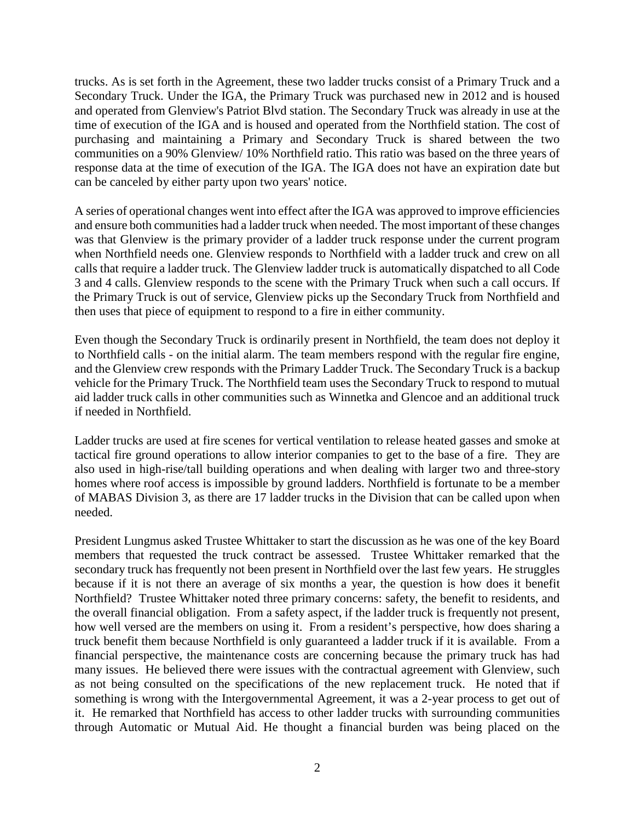trucks. As is set forth in the Agreement, these two ladder trucks consist of a Primary Truck and a Secondary Truck. Under the IGA, the Primary Truck was purchased new in 2012 and is housed and operated from Glenview's Patriot Blvd station. The Secondary Truck was already in use at the time of execution of the IGA and is housed and operated from the Northfield station. The cost of purchasing and maintaining a Primary and Secondary Truck is shared between the two communities on a 90% Glenview/ 10% Northfield ratio. This ratio was based on the three years of response data at the time of execution of the IGA. The IGA does not have an expiration date but can be canceled by either party upon two years' notice.

A series of operational changes went into effect after the IGA was approved to improve efficiencies and ensure both communities had a ladder truck when needed. The most important of these changes was that Glenview is the primary provider of a ladder truck response under the current program when Northfield needs one. Glenview responds to Northfield with a ladder truck and crew on all calls that require a ladder truck. The Glenview ladder truck is automatically dispatched to all Code 3 and 4 calls. Glenview responds to the scene with the Primary Truck when such a call occurs. If the Primary Truck is out of service, Glenview picks up the Secondary Truck from Northfield and then uses that piece of equipment to respond to a fire in either community.

Even though the Secondary Truck is ordinarily present in Northfield, the team does not deploy it to Northfield calls - on the initial alarm. The team members respond with the regular fire engine, and the Glenview crew responds with the Primary Ladder Truck. The Secondary Truck is a backup vehicle for the Primary Truck. The Northfield team uses the Secondary Truck to respond to mutual aid ladder truck calls in other communities such as Winnetka and Glencoe and an additional truck if needed in Northfield.

Ladder trucks are used at fire scenes for vertical ventilation to release heated gasses and smoke at tactical fire ground operations to allow interior companies to get to the base of a fire. They are also used in high-rise/tall building operations and when dealing with larger two and three-story homes where roof access is impossible by ground ladders. Northfield is fortunate to be a member of MABAS Division 3, as there are 17 ladder trucks in the Division that can be called upon when needed.

President Lungmus asked Trustee Whittaker to start the discussion as he was one of the key Board members that requested the truck contract be assessed. Trustee Whittaker remarked that the secondary truck has frequently not been present in Northfield over the last few years. He struggles because if it is not there an average of six months a year, the question is how does it benefit Northfield? Trustee Whittaker noted three primary concerns: safety, the benefit to residents, and the overall financial obligation. From a safety aspect, if the ladder truck is frequently not present, how well versed are the members on using it. From a resident's perspective, how does sharing a truck benefit them because Northfield is only guaranteed a ladder truck if it is available. From a financial perspective, the maintenance costs are concerning because the primary truck has had many issues. He believed there were issues with the contractual agreement with Glenview, such as not being consulted on the specifications of the new replacement truck. He noted that if something is wrong with the Intergovernmental Agreement, it was a 2-year process to get out of it. He remarked that Northfield has access to other ladder trucks with surrounding communities through Automatic or Mutual Aid. He thought a financial burden was being placed on the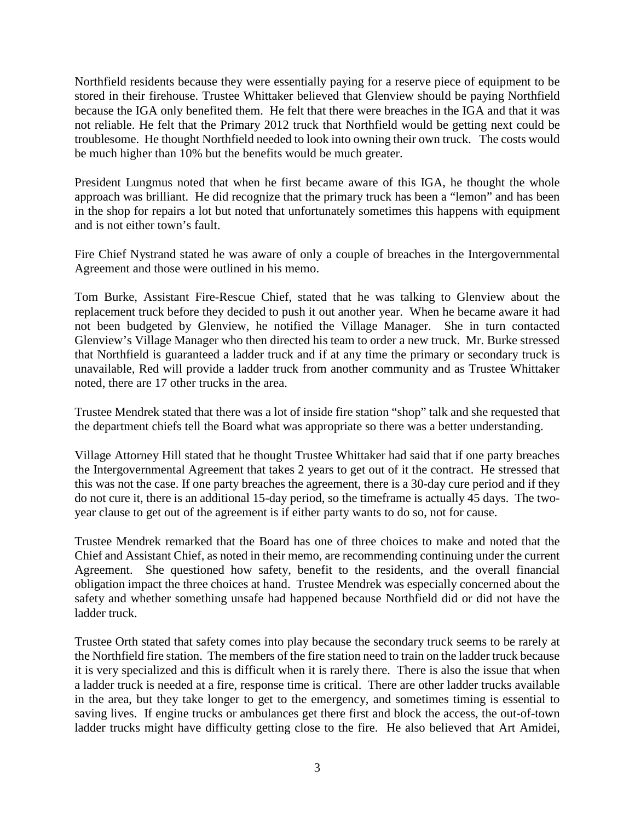Northfield residents because they were essentially paying for a reserve piece of equipment to be stored in their firehouse. Trustee Whittaker believed that Glenview should be paying Northfield because the IGA only benefited them. He felt that there were breaches in the IGA and that it was not reliable. He felt that the Primary 2012 truck that Northfield would be getting next could be troublesome. He thought Northfield needed to look into owning their own truck. The costs would be much higher than 10% but the benefits would be much greater.

President Lungmus noted that when he first became aware of this IGA, he thought the whole approach was brilliant. He did recognize that the primary truck has been a "lemon" and has been in the shop for repairs a lot but noted that unfortunately sometimes this happens with equipment and is not either town's fault.

Fire Chief Nystrand stated he was aware of only a couple of breaches in the Intergovernmental Agreement and those were outlined in his memo.

Tom Burke, Assistant Fire-Rescue Chief, stated that he was talking to Glenview about the replacement truck before they decided to push it out another year. When he became aware it had not been budgeted by Glenview, he notified the Village Manager. She in turn contacted Glenview's Village Manager who then directed his team to order a new truck. Mr. Burke stressed that Northfield is guaranteed a ladder truck and if at any time the primary or secondary truck is unavailable, Red will provide a ladder truck from another community and as Trustee Whittaker noted, there are 17 other trucks in the area.

Trustee Mendrek stated that there was a lot of inside fire station "shop" talk and she requested that the department chiefs tell the Board what was appropriate so there was a better understanding.

Village Attorney Hill stated that he thought Trustee Whittaker had said that if one party breaches the Intergovernmental Agreement that takes 2 years to get out of it the contract. He stressed that this was not the case. If one party breaches the agreement, there is a 30-day cure period and if they do not cure it, there is an additional 15-day period, so the timeframe is actually 45 days. The twoyear clause to get out of the agreement is if either party wants to do so, not for cause.

Trustee Mendrek remarked that the Board has one of three choices to make and noted that the Chief and Assistant Chief, as noted in their memo, are recommending continuing under the current Agreement. She questioned how safety, benefit to the residents, and the overall financial obligation impact the three choices at hand. Trustee Mendrek was especially concerned about the safety and whether something unsafe had happened because Northfield did or did not have the ladder truck.

Trustee Orth stated that safety comes into play because the secondary truck seems to be rarely at the Northfield fire station. The members of the fire station need to train on the ladder truck because it is very specialized and this is difficult when it is rarely there. There is also the issue that when a ladder truck is needed at a fire, response time is critical. There are other ladder trucks available in the area, but they take longer to get to the emergency, and sometimes timing is essential to saving lives. If engine trucks or ambulances get there first and block the access, the out-of-town ladder trucks might have difficulty getting close to the fire. He also believed that Art Amidei,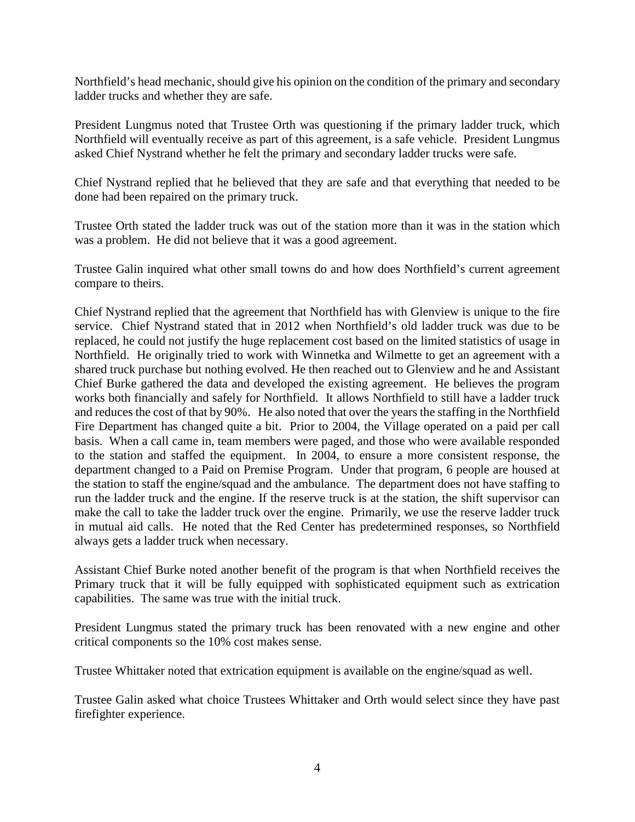Northfield's head mechanic, should give his opinion on the condition of the primary and secondary ladder trucks and whether they are safe.

President Lungmus noted that Trustee Orth was questioning if the primary ladder truck, which Northfield will eventually receive as part of this agreement, is a safe vehicle. President Lungmus asked Chief Nystrand whether he felt the primary and secondary ladder trucks were safe.

Chief Nystrand replied that he believed that they are safe and that everything that needed to be done had been repaired on the primary truck.

Trustee Orth stated the ladder truck was out of the station more than it was in the station which was a problem. He did not believe that it was a good agreement.

Trustee Galin inquired what other small towns do and how does Northfield's current agreement compare to theirs.

Chief Nystrand replied that the agreement that Northfield has with Glenview is unique to the fire service. Chief Nystrand stated that in 2012 when Northfield's old ladder truck was due to be replaced, he could not justify the huge replacement cost based on the limited statistics of usage in Northfield. He originally tried to work with Winnetka and Wilmette to get an agreement with a shared truck purchase but nothing evolved. He then reached out to Glenview and he and Assistant Chief Burke gathered the data and developed the existing agreement. He believes the program works both financially and safely for Northfield. It allows Northfield to still have a ladder truck and reduces the cost of that by 90%. He also noted that over the years the staffing in the Northfield Fire Department has changed quite a bit. Prior to 2004, the Village operated on a paid per call basis. When a call came in, team members were paged, and those who were available responded to the station and staffed the equipment. In 2004, to ensure a more consistent response, the department changed to a Paid on Premise Program. Under that program, 6 people are housed at the station to staff the engine/squad and the ambulance. The department does not have staffing to run the ladder truck and the engine. If the reserve truck is at the station, the shift supervisor can make the call to take the ladder truck over the engine. Primarily, we use the reserve ladder truck in mutual aid calls. He noted that the Red Center has predetermined responses, so Northfield always gets a ladder truck when necessary.

Assistant Chief Burke noted another benefit of the program is that when Northfield receives the Primary truck that it will be fully equipped with sophisticated equipment such as extrication capabilities. The same was true with the initial truck.

President Lungmus stated the primary truck has been renovated with a new engine and other critical components so the 10% cost makes sense.

Trustee Whittaker noted that extrication equipment is available on the engine/squad as well.

Trustee Galin asked what choice Trustees Whittaker and Orth would select since they have past firefighter experience.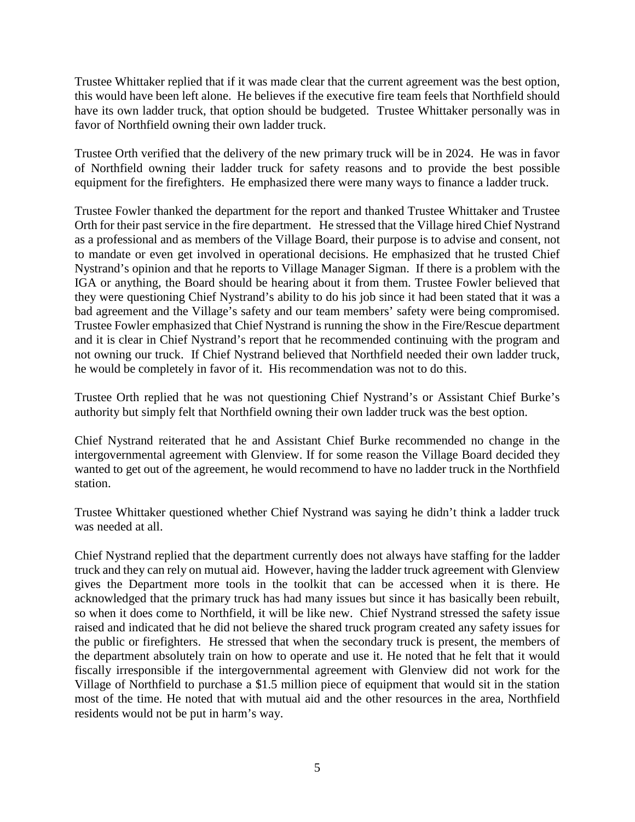Trustee Whittaker replied that if it was made clear that the current agreement was the best option, this would have been left alone. He believes if the executive fire team feels that Northfield should have its own ladder truck, that option should be budgeted. Trustee Whittaker personally was in favor of Northfield owning their own ladder truck.

Trustee Orth verified that the delivery of the new primary truck will be in 2024. He was in favor of Northfield owning their ladder truck for safety reasons and to provide the best possible equipment for the firefighters. He emphasized there were many ways to finance a ladder truck.

Trustee Fowler thanked the department for the report and thanked Trustee Whittaker and Trustee Orth for their past service in the fire department. He stressed that the Village hired Chief Nystrand as a professional and as members of the Village Board, their purpose is to advise and consent, not to mandate or even get involved in operational decisions. He emphasized that he trusted Chief Nystrand's opinion and that he reports to Village Manager Sigman. If there is a problem with the IGA or anything, the Board should be hearing about it from them. Trustee Fowler believed that they were questioning Chief Nystrand's ability to do his job since it had been stated that it was a bad agreement and the Village's safety and our team members' safety were being compromised. Trustee Fowler emphasized that Chief Nystrand is running the show in the Fire/Rescue department and it is clear in Chief Nystrand's report that he recommended continuing with the program and not owning our truck. If Chief Nystrand believed that Northfield needed their own ladder truck, he would be completely in favor of it. His recommendation was not to do this.

Trustee Orth replied that he was not questioning Chief Nystrand's or Assistant Chief Burke's authority but simply felt that Northfield owning their own ladder truck was the best option.

Chief Nystrand reiterated that he and Assistant Chief Burke recommended no change in the intergovernmental agreement with Glenview. If for some reason the Village Board decided they wanted to get out of the agreement, he would recommend to have no ladder truck in the Northfield station.

Trustee Whittaker questioned whether Chief Nystrand was saying he didn't think a ladder truck was needed at all.

Chief Nystrand replied that the department currently does not always have staffing for the ladder truck and they can rely on mutual aid. However, having the ladder truck agreement with Glenview gives the Department more tools in the toolkit that can be accessed when it is there. He acknowledged that the primary truck has had many issues but since it has basically been rebuilt, so when it does come to Northfield, it will be like new. Chief Nystrand stressed the safety issue raised and indicated that he did not believe the shared truck program created any safety issues for the public or firefighters. He stressed that when the secondary truck is present, the members of the department absolutely train on how to operate and use it. He noted that he felt that it would fiscally irresponsible if the intergovernmental agreement with Glenview did not work for the Village of Northfield to purchase a \$1.5 million piece of equipment that would sit in the station most of the time. He noted that with mutual aid and the other resources in the area, Northfield residents would not be put in harm's way.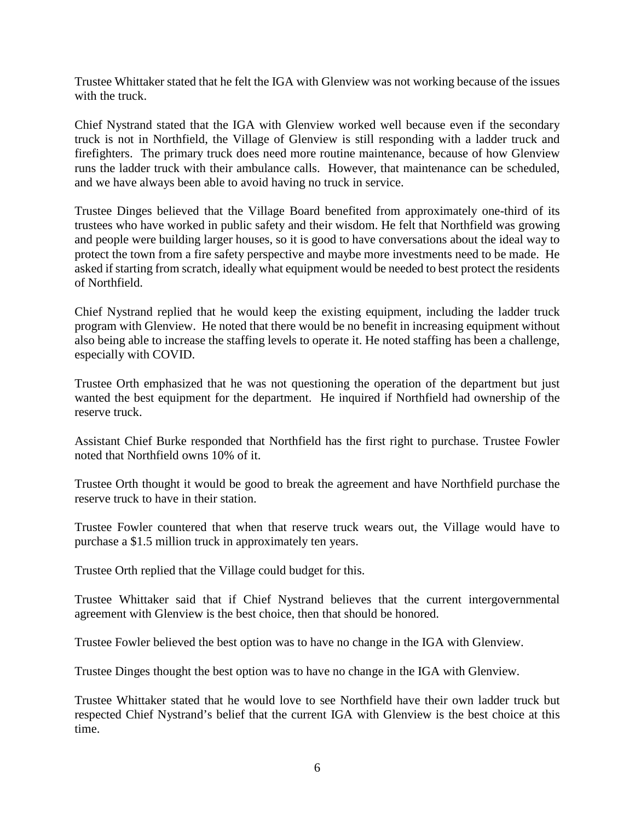Trustee Whittaker stated that he felt the IGA with Glenview was not working because of the issues with the truck.

Chief Nystrand stated that the IGA with Glenview worked well because even if the secondary truck is not in Northfield, the Village of Glenview is still responding with a ladder truck and firefighters. The primary truck does need more routine maintenance, because of how Glenview runs the ladder truck with their ambulance calls. However, that maintenance can be scheduled, and we have always been able to avoid having no truck in service.

Trustee Dinges believed that the Village Board benefited from approximately one-third of its trustees who have worked in public safety and their wisdom. He felt that Northfield was growing and people were building larger houses, so it is good to have conversations about the ideal way to protect the town from a fire safety perspective and maybe more investments need to be made. He asked if starting from scratch, ideally what equipment would be needed to best protect the residents of Northfield.

Chief Nystrand replied that he would keep the existing equipment, including the ladder truck program with Glenview. He noted that there would be no benefit in increasing equipment without also being able to increase the staffing levels to operate it. He noted staffing has been a challenge, especially with COVID.

Trustee Orth emphasized that he was not questioning the operation of the department but just wanted the best equipment for the department. He inquired if Northfield had ownership of the reserve truck.

Assistant Chief Burke responded that Northfield has the first right to purchase. Trustee Fowler noted that Northfield owns 10% of it.

Trustee Orth thought it would be good to break the agreement and have Northfield purchase the reserve truck to have in their station.

Trustee Fowler countered that when that reserve truck wears out, the Village would have to purchase a \$1.5 million truck in approximately ten years.

Trustee Orth replied that the Village could budget for this.

Trustee Whittaker said that if Chief Nystrand believes that the current intergovernmental agreement with Glenview is the best choice, then that should be honored.

Trustee Fowler believed the best option was to have no change in the IGA with Glenview.

Trustee Dinges thought the best option was to have no change in the IGA with Glenview.

Trustee Whittaker stated that he would love to see Northfield have their own ladder truck but respected Chief Nystrand's belief that the current IGA with Glenview is the best choice at this time.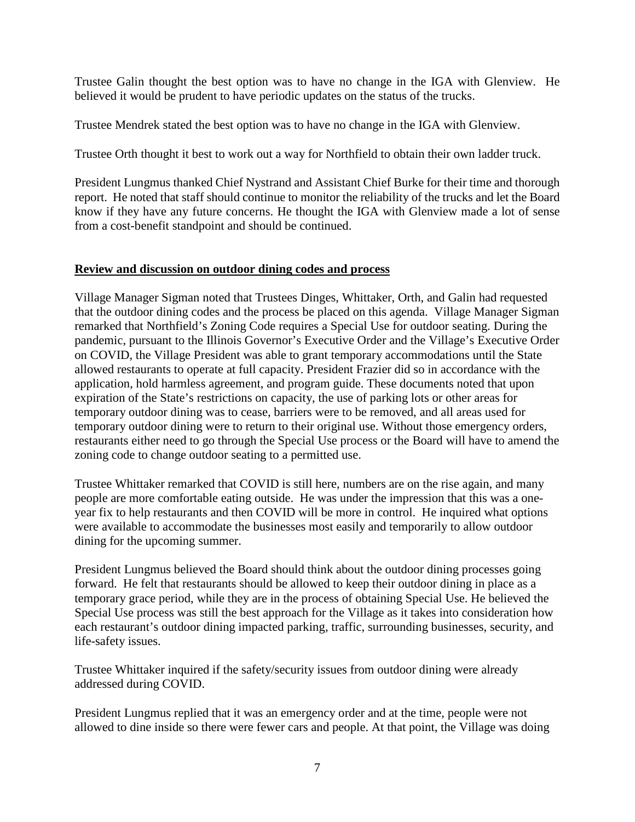Trustee Galin thought the best option was to have no change in the IGA with Glenview. He believed it would be prudent to have periodic updates on the status of the trucks.

Trustee Mendrek stated the best option was to have no change in the IGA with Glenview.

Trustee Orth thought it best to work out a way for Northfield to obtain their own ladder truck.

President Lungmus thanked Chief Nystrand and Assistant Chief Burke for their time and thorough report. He noted that staff should continue to monitor the reliability of the trucks and let the Board know if they have any future concerns. He thought the IGA with Glenview made a lot of sense from a cost-benefit standpoint and should be continued.

### **Review and discussion on outdoor dining codes and process**

Village Manager Sigman noted that Trustees Dinges, Whittaker, Orth, and Galin had requested that the outdoor dining codes and the process be placed on this agenda. Village Manager Sigman remarked that Northfield's Zoning Code requires a Special Use for outdoor seating. During the pandemic, pursuant to the Illinois Governor's Executive Order and the Village's Executive Order on COVID, the Village President was able to grant temporary accommodations until the State allowed restaurants to operate at full capacity. President Frazier did so in accordance with the application, hold harmless agreement, and program guide. These documents noted that upon expiration of the State's restrictions on capacity, the use of parking lots or other areas for temporary outdoor dining was to cease, barriers were to be removed, and all areas used for temporary outdoor dining were to return to their original use. Without those emergency orders, restaurants either need to go through the Special Use process or the Board will have to amend the zoning code to change outdoor seating to a permitted use.

Trustee Whittaker remarked that COVID is still here, numbers are on the rise again, and many people are more comfortable eating outside. He was under the impression that this was a oneyear fix to help restaurants and then COVID will be more in control. He inquired what options were available to accommodate the businesses most easily and temporarily to allow outdoor dining for the upcoming summer.

President Lungmus believed the Board should think about the outdoor dining processes going forward. He felt that restaurants should be allowed to keep their outdoor dining in place as a temporary grace period, while they are in the process of obtaining Special Use. He believed the Special Use process was still the best approach for the Village as it takes into consideration how each restaurant's outdoor dining impacted parking, traffic, surrounding businesses, security, and life-safety issues.

Trustee Whittaker inquired if the safety/security issues from outdoor dining were already addressed during COVID.

President Lungmus replied that it was an emergency order and at the time, people were not allowed to dine inside so there were fewer cars and people. At that point, the Village was doing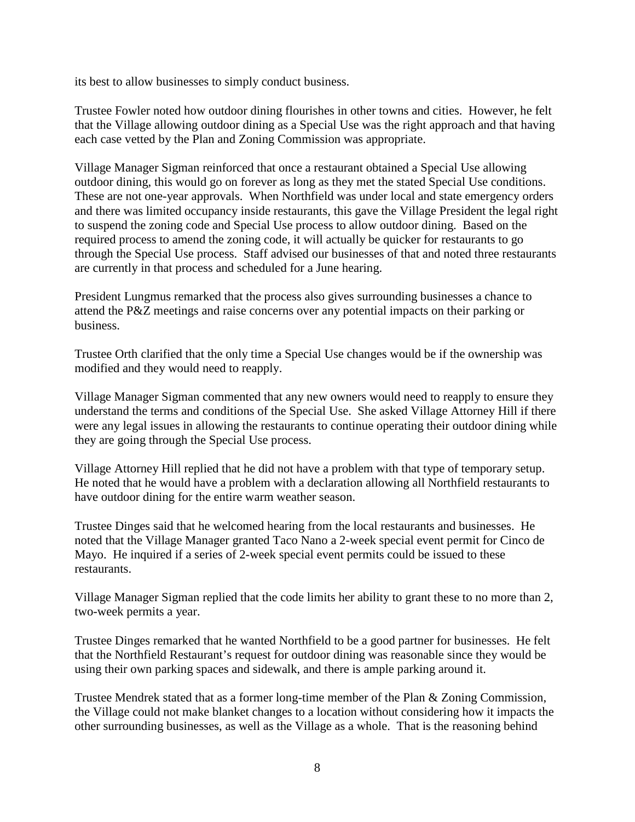its best to allow businesses to simply conduct business.

Trustee Fowler noted how outdoor dining flourishes in other towns and cities. However, he felt that the Village allowing outdoor dining as a Special Use was the right approach and that having each case vetted by the Plan and Zoning Commission was appropriate.

Village Manager Sigman reinforced that once a restaurant obtained a Special Use allowing outdoor dining, this would go on forever as long as they met the stated Special Use conditions. These are not one-year approvals. When Northfield was under local and state emergency orders and there was limited occupancy inside restaurants, this gave the Village President the legal right to suspend the zoning code and Special Use process to allow outdoor dining. Based on the required process to amend the zoning code, it will actually be quicker for restaurants to go through the Special Use process. Staff advised our businesses of that and noted three restaurants are currently in that process and scheduled for a June hearing.

President Lungmus remarked that the process also gives surrounding businesses a chance to attend the P&Z meetings and raise concerns over any potential impacts on their parking or business.

Trustee Orth clarified that the only time a Special Use changes would be if the ownership was modified and they would need to reapply.

Village Manager Sigman commented that any new owners would need to reapply to ensure they understand the terms and conditions of the Special Use. She asked Village Attorney Hill if there were any legal issues in allowing the restaurants to continue operating their outdoor dining while they are going through the Special Use process.

Village Attorney Hill replied that he did not have a problem with that type of temporary setup. He noted that he would have a problem with a declaration allowing all Northfield restaurants to have outdoor dining for the entire warm weather season.

Trustee Dinges said that he welcomed hearing from the local restaurants and businesses. He noted that the Village Manager granted Taco Nano a 2-week special event permit for Cinco de Mayo. He inquired if a series of 2-week special event permits could be issued to these restaurants.

Village Manager Sigman replied that the code limits her ability to grant these to no more than 2, two-week permits a year.

Trustee Dinges remarked that he wanted Northfield to be a good partner for businesses. He felt that the Northfield Restaurant's request for outdoor dining was reasonable since they would be using their own parking spaces and sidewalk, and there is ample parking around it.

Trustee Mendrek stated that as a former long-time member of the Plan & Zoning Commission, the Village could not make blanket changes to a location without considering how it impacts the other surrounding businesses, as well as the Village as a whole. That is the reasoning behind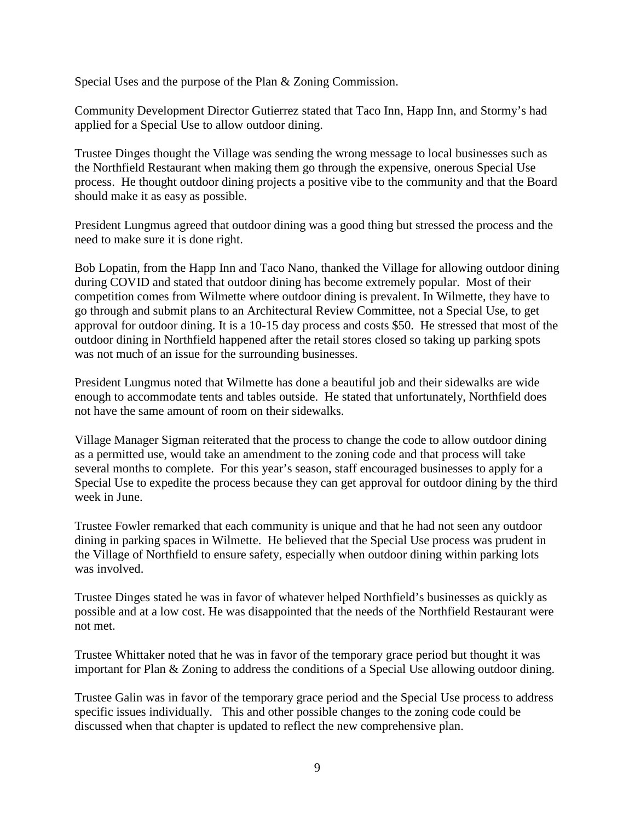Special Uses and the purpose of the Plan & Zoning Commission.

Community Development Director Gutierrez stated that Taco Inn, Happ Inn, and Stormy's had applied for a Special Use to allow outdoor dining.

Trustee Dinges thought the Village was sending the wrong message to local businesses such as the Northfield Restaurant when making them go through the expensive, onerous Special Use process. He thought outdoor dining projects a positive vibe to the community and that the Board should make it as easy as possible.

President Lungmus agreed that outdoor dining was a good thing but stressed the process and the need to make sure it is done right.

Bob Lopatin, from the Happ Inn and Taco Nano, thanked the Village for allowing outdoor dining during COVID and stated that outdoor dining has become extremely popular. Most of their competition comes from Wilmette where outdoor dining is prevalent. In Wilmette, they have to go through and submit plans to an Architectural Review Committee, not a Special Use, to get approval for outdoor dining. It is a 10-15 day process and costs \$50. He stressed that most of the outdoor dining in Northfield happened after the retail stores closed so taking up parking spots was not much of an issue for the surrounding businesses.

President Lungmus noted that Wilmette has done a beautiful job and their sidewalks are wide enough to accommodate tents and tables outside. He stated that unfortunately, Northfield does not have the same amount of room on their sidewalks.

Village Manager Sigman reiterated that the process to change the code to allow outdoor dining as a permitted use, would take an amendment to the zoning code and that process will take several months to complete. For this year's season, staff encouraged businesses to apply for a Special Use to expedite the process because they can get approval for outdoor dining by the third week in June.

Trustee Fowler remarked that each community is unique and that he had not seen any outdoor dining in parking spaces in Wilmette. He believed that the Special Use process was prudent in the Village of Northfield to ensure safety, especially when outdoor dining within parking lots was involved.

Trustee Dinges stated he was in favor of whatever helped Northfield's businesses as quickly as possible and at a low cost. He was disappointed that the needs of the Northfield Restaurant were not met.

Trustee Whittaker noted that he was in favor of the temporary grace period but thought it was important for Plan & Zoning to address the conditions of a Special Use allowing outdoor dining.

Trustee Galin was in favor of the temporary grace period and the Special Use process to address specific issues individually. This and other possible changes to the zoning code could be discussed when that chapter is updated to reflect the new comprehensive plan.